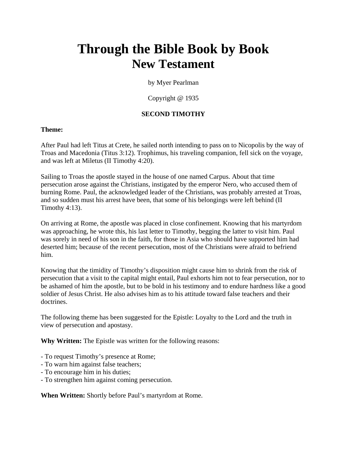# **Through the Bible Book by Book New Testament**

by Myer Pearlman

Copyright @ 1935

### **SECOND TIMOTHY**

#### **Theme:**

After Paul had left Titus at Crete, he sailed north intending to pass on to Nicopolis by the way of Troas and Macedonia (Titus 3:12). Trophimus, his traveling companion, fell sick on the voyage, and was left at Miletus (II Timothy 4:20).

Sailing to Troas the apostle stayed in the house of one named Carpus. About that time persecution arose against the Christians, instigated by the emperor Nero, who accused them of burning Rome. Paul, the acknowledged leader of the Christians, was probably arrested at Troas, and so sudden must his arrest have been, that some of his belongings were left behind (II Timothy 4:13).

On arriving at Rome, the apostle was placed in close confinement. Knowing that his martyrdom was approaching, he wrote this, his last letter to Timothy, begging the latter to visit him. Paul was sorely in need of his son in the faith, for those in Asia who should have supported him had deserted him; because of the recent persecution, most of the Christians were afraid to befriend him.

Knowing that the timidity of Timothy's disposition might cause him to shrink from the risk of persecution that a visit to the capital might entail, Paul exhorts him not to fear persecution, nor to be ashamed of him the apostle, but to be bold in his testimony and to endure hardness like a good soldier of Jesus Christ. He also advises him as to his attitude toward false teachers and their doctrines.

The following theme has been suggested for the Epistle: Loyalty to the Lord and the truth in view of persecution and apostasy.

**Why Written:** The Epistle was written for the following reasons:

- To request Timothy's presence at Rome;
- To warn him against false teachers;
- To encourage him in his duties;
- To strengthen him against coming persecution.

**When Written:** Shortly before Paul's martyrdom at Rome.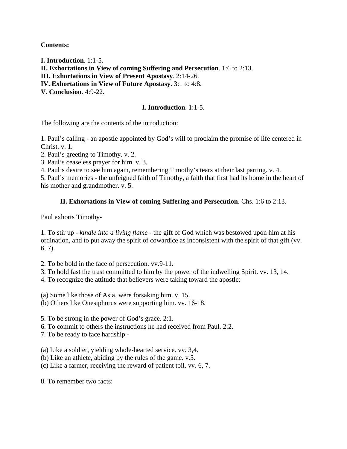**Contents:**

**I. Introduction**. 1:1-5. **II. Exhortations in View of coming Suffering and Persecution**. 1:6 to 2:13. **III. Exhortations in View of Present Apostasy**. 2:14-26. **IV. Exhortations in View of Future Apostasy**. 3:1 to 4:8. **V. Conclusion**. 4:9-22.

# **I. Introduction**. 1:1-5.

The following are the contents of the introduction:

1. Paul's calling - an apostle appointed by God's will to proclaim the promise of life centered in Christ. v. 1.

2. Paul's greeting to Timothy. v. 2.

3. Paul's ceaseless prayer for him. v. 3.

4. Paul's desire to see him again, remembering Timothy's tears at their last parting. v. 4.

5. Paul's memories - the unfeigned faith of Timothy, a faith that first had its home in the heart of his mother and grandmother. v. 5.

### **II. Exhortations in View of coming Suffering and Persecution**. Chs. 1:6 to 2:13.

Paul exhorts Timothy-

1. To stir up - *kindle into a living flame* - the gift of God which was bestowed upon him at his ordination, and to put away the spirit of cowardice as inconsistent with the spirit of that gift (vv. 6, 7).

2. To be bold in the face of persecution. vv.9-11.

3. To hold fast the trust committed to him by the power of the indwelling Spirit. vv. 13, 14.

4. To recognize the attitude that believers were taking toward the apostle:

(a) Some like those of Asia, were forsaking him. v. 15.

(b) Others like Onesiphorus were supporting him. vv. 16-18.

5. To be strong in the power of God's grace. 2:1.

6. To commit to others the instructions he had received from Paul. 2:2.

7. To be ready to face hardship -

(a) Like a soldier, yielding whole-hearted service. vv. 3,4.

(b) Like an athlete, abiding by the rules of the game. v.5.

(c) Like a farmer, receiving the reward of patient toil. vv. 6, 7.

8. To remember two facts: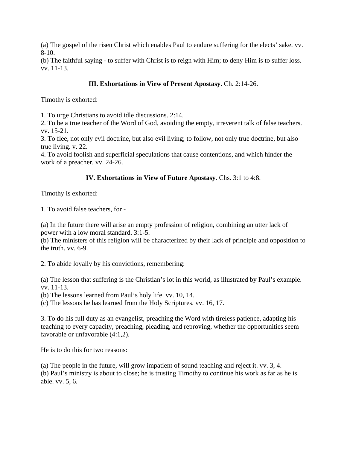(a) The gospel of the risen Christ which enables Paul to endure suffering for the elects' sake. vv. 8-10.

(b) The faithful saying - to suffer with Christ is to reign with Him; to deny Him is to suffer loss. vv. 11-13.

# **III. Exhortations in View of Present Apostasy**. Ch. 2:14-26.

Timothy is exhorted:

1. To urge Christians to avoid idle discussions. 2:14.

2. To be a true teacher of the Word of God, avoiding the empty, irreverent talk of false teachers. vv. 15-21.

3. To flee, not only evil doctrine, but also evil living; to follow, not only true doctrine, but also true living. v. 22.

4. To avoid foolish and superficial speculations that cause contentions, and which hinder the work of a preacher. vv. 24-26.

### **IV. Exhortations in View of Future Apostasy**. Chs. 3:1 to 4:8.

Timothy is exhorted:

1. To avoid false teachers, for -

(a) In the future there will arise an empty profession of religion, combining an utter lack of power with a low moral standard. 3:1-5.

(b) The ministers of this religion will be characterized by their lack of principle and opposition to the truth. vv. 6-9.

2. To abide loyally by his convictions, remembering:

(a) The lesson that suffering is the Christian's lot in this world, as illustrated by Paul's example. vv. 11-13.

(b) The lessons learned from Paul's holy life. vv. 10, 14.

(c) The lessons he has learned from the Holy Scriptures. vv. 16, 17.

3. To do his full duty as an evangelist, preaching the Word with tireless patience, adapting his teaching to every capacity, preaching, pleading, and reproving, whether the opportunities seem favorable or unfavorable (4:1,2).

He is to do this for two reasons:

(a) The people in the future, will grow impatient of sound teaching and reject it. vv. 3, 4. (b) Paul's ministry is about to close; he is trusting Timothy to continue his work as far as he is able. vv. 5, 6.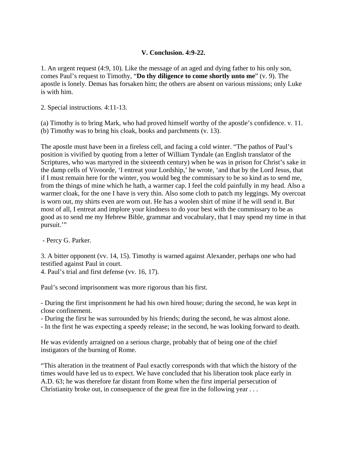### **V. Conclusion. 4:9-22.**

1. An urgent request (4:9, 10). Like the message of an aged and dying father to his only son, comes Paul's request to Timothy, "**Do thy diligence to come shortly unto me**" (v. 9). The apostle is lonely. Demas has forsaken him; the others are absent on various missions; only Luke is with him.

2. Special instructions. 4:11-13.

(a) Timothy is to bring Mark, who had proved himself worthy of the apostle's confidence. v. 11. (b) Timothy was to bring his cloak, books and parchments (v. 13).

The apostle must have been in a fireless cell, and facing a cold winter. "The pathos of Paul's position is vivified by quoting from a letter of William Tyndale (an English translator of the Scriptures, who was martyred in the sixteenth century) when he was in prison for Christ's sake in the damp cells of Vivoorde, 'I entreat your Lordship,' he wrote, 'and that by the Lord Jesus, that if I must remain here for the winter, you would beg the commissary to be so kind as to send me, from the things of mine which he hath, a warmer cap. I feel the cold painfully in my head. Also a warmer cloak, for the one I have is very thin. Also some cloth to patch my leggings. My overcoat is worn out, my shirts even are worn out. He has a woolen shirt of mine if he will send it. But most of all, I entreat and implore your kindness to do your best with the commissary to be as good as to send me my Hebrew Bible, grammar and vocabulary, that I may spend my time in that pursuit."

- Percy G. Parker.

3. A bitter opponent (vv. 14, 15). Timothy is warned against Alexander, perhaps one who had testified against Paul in court.

4. Paul's trial and first defense (vv. 16, 17).

Paul's second imprisonment was more rigorous than his first.

- During the first imprisonment he had his own hired house; during the second, he was kept in close confinement.

- During the first he was surrounded by his friends; during the second, he was almost alone.

- In the first he was expecting a speedy release; in the second, he was looking forward to death.

He was evidently arraigned on a serious charge, probably that of being one of the chief instigators of the burning of Rome.

"This alteration in the treatment of Paul exactly corresponds with that which the history of the times would have led us to expect. We have concluded that his liberation took place early in A.D. 63; he was therefore far distant from Rome when the first imperial persecution of Christianity broke out, in consequence of the great fire in the following year . . .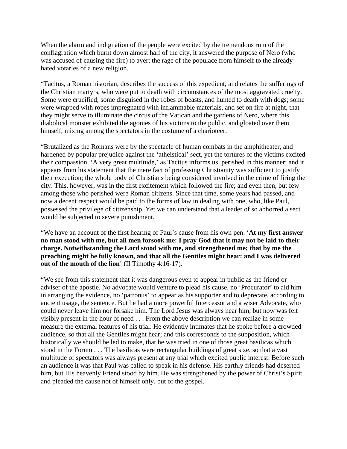When the alarm and indignation of the people were excited by the tremendous ruin of the conflagration which burnt down almost half of the city, it answered the purpose of Nero (who was accused of causing the fire) to avert the rage of the populace from himself to the already hated votaries of a new religion.

"Tacitus, a Roman historian, describes the success of this expedient, and relates the sufferings of the Christian martyrs, who were put to death with circumstances of the most aggravated cruelty. Some were crucified; some disguised in the robes of beasts, and hunted to death with dogs; some were wrapped with ropes impregnated with inflammable materials, and set on fire at night, that they might serve to illuminate the circus of the Vatican and the gardens of Nero, where this diabolical monster exhibited the agonies of his victims to the public, and gloated over them himself, mixing among the spectators in the costume of a charioteer.

"Brutalized as the Romans were by the spectacle of human combats in the amphitheater, and hardened by popular prejudice against the 'atheistical' sect, yet the tortures of the victims excited their compassion. 'A very great multitude,' as Tacitus informs us, perished in this manner; and it appears from his statement that the mere fact of professing Christianity was sufficient to justify their execution; the whole body of Christians being considered involved in the crime of firing the city. This, however, was in the first excitement which followed the fire; and even then, but few among those who perished were Roman citizens. Since that time, some years had passed, and now a decent respect would be paid to the forms of law in dealing with one, who, like Paul, possessed the privilege of citizenship. Yet we can understand that a leader of so abhorred a sect would be subjected to severe punishment.

"We have an account of the first hearing of Paul's cause from his own pen. '**At my first answer no man stood with me, but all men forsook me: I pray God that it may not be laid to their charge. Notwithstanding the Lord stood with me, and strengthened me; that by me the preaching might be fully known, and that all the Gentiles might hear: and I was delivered out of the mouth of the lion**' (II Timothy 4:16-17).

"We see from this statement that it was dangerous even to appear in public as the friend or adviser of the apostle. No advocate would venture to plead his cause, no 'Procurator' to aid him in arranging the evidence, no 'patronus' to appear as his supporter and to deprecate, according to ancient usage, the sentence. But he had a more powerful Intercessor and a wiser Advocate, who could never leave him nor forsake him. The Lord Jesus was always near him, but now was felt visibly present in the hour of need . . . From the above description we can realize in some measure the external features of his trial. He evidently intimates that he spoke before a crowded audience, so that all the Gentiles might hear; and this corresponds to the supposition, which historically we should be led to make, that he was tried in one of those great basilicas which stood in the Forum . . . The basilicas were rectangular buildings of great size, so that a vast multitude of spectators was always present at any trial which excited public interest. Before such an audience it was that Paul was called to speak in his defense. His earthly friends had deserted him, but His heavenly Friend stood by him. He was strengthened by the power of Christ's Spirit and pleaded the cause not of himself only, but of the gospel.